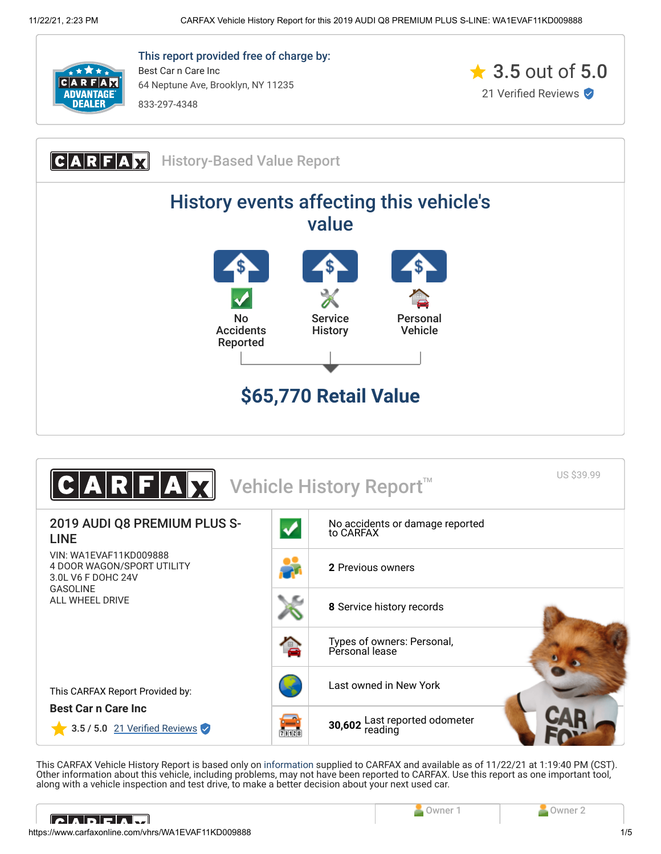

This report provided free of charge by: Best Car n Care Inc 64 Neptune Ave, Brooklyn, NY 11235 833-297-4348







<span id="page-0-0"></span>This CARFAX Vehicle History Report is based only on [information](http://www.carfax.com/company/vhr-data-sources) supplied to CARFAX and available as of 11/22/21 at 1:19:40 PM (CST). Other information about this vehicle, including problems, may not have been reported to CARFAX. Use this report as one important tool, along with a vehicle inspection and test drive, to make a better decision about your next used car.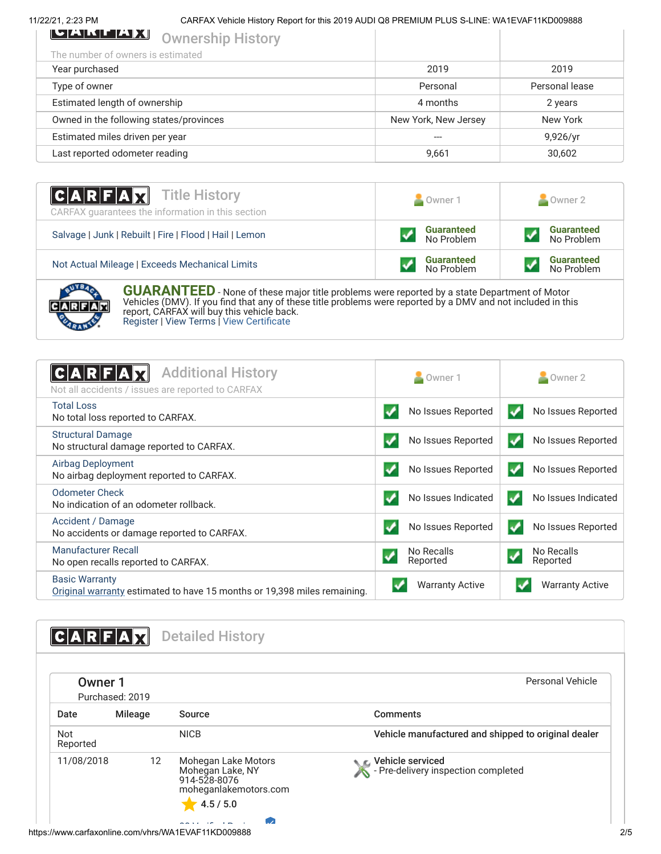11/22/21, 2:23 PM CARFAX Vehicle History Report for this 2019 AUDI Q8 PREMIUM PLUS S-LINE: WA1EVAF11KD009888

| <b>IMARTA ANG PARAMETER</b><br><b>Ownership History</b> |                      |                |
|---------------------------------------------------------|----------------------|----------------|
| The number of owners is estimated                       |                      |                |
| Year purchased                                          | 2019                 | 2019           |
| Type of owner                                           | Personal             | Personal lease |
| Estimated length of ownership                           | 4 months             | 2 years        |
| Owned in the following states/provinces                 | New York, New Jersey | New York       |
| Estimated miles driven per year                         |                      | 9,926/yr       |
| Last reported odometer reading                          | 9,661                | 30,602         |
|                                                         |                      |                |

| <b>CARFAX</b> Title History<br>CARFAX guarantees the information in this section | Owner 1                         | Owner 2                         |
|----------------------------------------------------------------------------------|---------------------------------|---------------------------------|
| Salvage   Junk   Rebuilt   Fire   Flood   Hail   Lemon                           | <b>Guaranteed</b><br>No Problem | <b>Guaranteed</b><br>No Problem |
| Not Actual Mileage   Exceeds Mechanical Limits                                   | <b>Guaranteed</b><br>No Problem | <b>Guaranteed</b><br>No Problem |
|                                                                                  |                                 |                                 |



**GUARANTEED** - None of these major title problems were reported by a state Department of Motor Vehicles (DMV). If you find that any of these title problems were reported by a DMV and not included in this report, CARFAX will buy this vehicle back. [Register](https://www.carfax.com/Service/bbg) | [View Terms](http://www.carfaxonline.com/legal/bbgTerms) | [View Certificate](https://www.carfaxonline.com/vhrs/WA1EVAF11KD009888)

<span id="page-1-0"></span>

| <b>Additional History</b><br>C A R F<br>Not all accidents / issues are reported to CARFAX         | Owner 1                | Owner 2                                |
|---------------------------------------------------------------------------------------------------|------------------------|----------------------------------------|
| <b>Total Loss</b><br>No total loss reported to CARFAX.                                            | No Issues Reported     | No Issues Reported<br>✓                |
| <b>Structural Damage</b><br>No structural damage reported to CARFAX.                              | No Issues Reported     | No Issues Reported<br>✓                |
| <b>Airbag Deployment</b><br>No airbag deployment reported to CARFAX.                              | No Issues Reported     | No Issues Reported<br>✓                |
| Odometer Check<br>No indication of an odometer rollback.                                          | No Issues Indicated    | No Issues Indicated<br>✔               |
| Accident / Damage<br>No accidents or damage reported to CARFAX.                                   | No Issues Reported     | No Issues Reported<br>$\boldsymbol{V}$ |
| <b>Manufacturer Recall</b><br>No open recalls reported to CARFAX.                                 | No Recalls<br>Reported | No Recalls<br>Reported                 |
| <b>Basic Warranty</b><br>Original warranty estimated to have 15 months or 19,398 miles remaining. | <b>Warranty Active</b> | <b>Warranty Active</b>                 |

<span id="page-1-1"></span>

| <b>Owner 1</b>         | Purchased: 2019   |                                                                                                | Personal Vehicle                                        |
|------------------------|-------------------|------------------------------------------------------------------------------------------------|---------------------------------------------------------|
| Date                   | Mileage           | Source                                                                                         | <b>Comments</b>                                         |
| <b>Not</b><br>Reported |                   | <b>NICB</b>                                                                                    | Vehicle manufactured and shipped to original dealer     |
| 11/08/2018             | $12 \overline{ }$ | Mohegan Lake Motors<br>Mohegan Lake, NY<br>914-528-8076<br>moheganlakemotors.com<br>$-4.5/5.0$ | Vehicle serviced<br>- Pre-delivery inspection completed |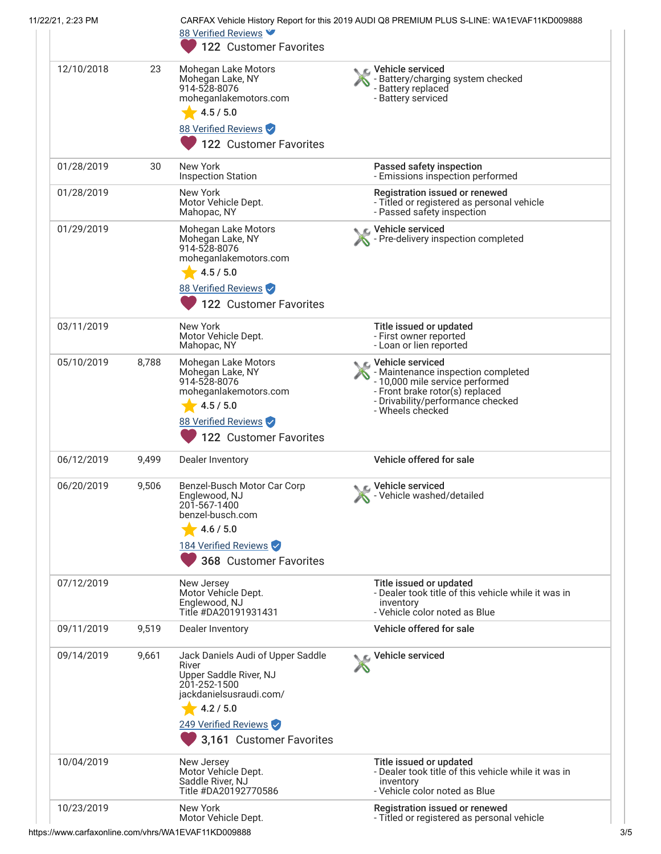| 11/22/21, 2:23 PM |       | 88 Verified Reviews                                                                                                                                                              | CARFAX Vehicle History Report for this 2019 AUDI Q8 PREMIUM PLUS S-LINE: WA1EVAF11KD009888                                                                                            |
|-------------------|-------|----------------------------------------------------------------------------------------------------------------------------------------------------------------------------------|---------------------------------------------------------------------------------------------------------------------------------------------------------------------------------------|
|                   |       | 122 Customer Favorites                                                                                                                                                           |                                                                                                                                                                                       |
| 12/10/2018        | 23    | Mohegan Lake Motors<br>Mohegan Lake, NY<br>914-528-8076<br>moheganlakemotors.com<br>4.5 / 5.0<br>88 Verified Reviews<br>122 Customer Favorites                                   | C Vehicle serviced<br>Battery/charging system checked<br>- Battery replaced<br>- Battery serviced                                                                                     |
| 01/28/2019        | 30    | New York<br><b>Inspection Station</b>                                                                                                                                            | Passed safety inspection<br>- Emissions inspection performed                                                                                                                          |
| 01/28/2019        |       | New York<br>Motor Vehicle Dept.<br>Mahopac, NY                                                                                                                                   | Registration issued or renewed<br>- Titled or registered as personal vehicle<br>- Passed safety inspection                                                                            |
| 01/29/2019        |       | Mohegan Lake Motors<br>Mohegan Lake, NY<br>914-528-8076<br>moheganlakemotors.com<br>4.5 / 5.0<br>88 Verified Reviews<br>122 Customer Favorites                                   | Vehicle serviced<br>Pre-delivery inspection completed                                                                                                                                 |
| 03/11/2019        |       | <b>New York</b><br>Motor Vehicle Dept.<br>Mahopac, NY                                                                                                                            | Title issued or updated<br>- First owner reported<br>- Loan or lien reported                                                                                                          |
| 05/10/2019        | 8,788 | Mohegan Lake Motors<br>Mohegan Lake, NY<br>914-528-8076<br>moheganlakemotors.com<br>4.5 / 5.0<br>88 Verified Reviews<br>122 Customer Favorites                                   | Vehicle serviced<br>- Maintenance inspection completed<br>- 10,000 mile service performed<br>- Front brake rotor(s) replaced<br>- Drivability/performance checked<br>- Wheels checked |
| 06/12/2019        | 9,499 | Dealer Inventory                                                                                                                                                                 | Vehicle offered for sale                                                                                                                                                              |
| 06/20/2019        | 9,506 | Benzel-Busch Motor Car Corp<br>Englewood, NJ<br>201-567-1400<br>benzel-busch.com<br>4.6 / 5.0<br>184 Verified Reviews<br>368 Customer Favorites                                  | Vehicle serviced<br>Vehicle washed/detailed                                                                                                                                           |
| 07/12/2019        |       | New Jersey<br>Motor Vehicle Dept.<br>Englewood, NJ<br>Title #DA20191931431                                                                                                       | Title issued or updated<br>- Dealer took title of this vehicle while it was in<br>inventory<br>- Vehicle color noted as Blue                                                          |
| 09/11/2019        | 9,519 | Dealer Inventory                                                                                                                                                                 | Vehicle offered for sale                                                                                                                                                              |
| 09/14/2019        | 9,661 | Jack Daniels Audi of Upper Saddle<br>River<br>Upper Saddle River, NJ<br>201-252-1500<br>jackdanielsusraudi.com/<br>4.2 / 5.0<br>249 Verified Reviews<br>3,161 Customer Favorites | C Vehicle serviced                                                                                                                                                                    |
| 10/04/2019        |       | New Jersey<br>Motor Vehicle Dept.<br>Saddle River, NJ<br>Title #DA20192770586                                                                                                    | Title issued or updated<br>- Dealer took title of this vehicle while it was in<br>inventory<br>- Vehicle color noted as Blue                                                          |
| 10/23/2019        |       | New York<br>Motor Vehicle Dept.                                                                                                                                                  | Registration issued or renewed<br>- Titled or registered as personal vehicle                                                                                                          |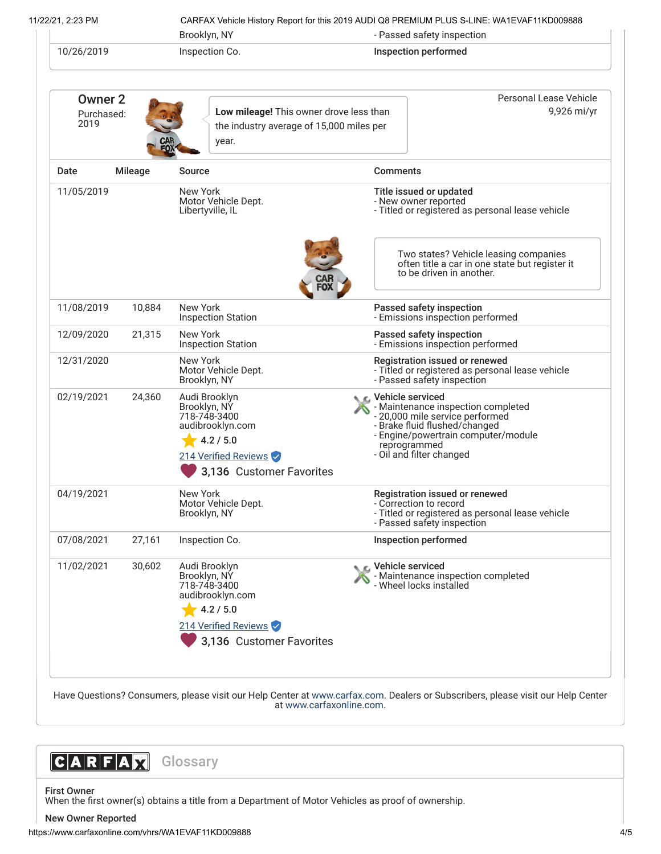11/22/21, 2:23 PM CARFAX Vehicle History Report for this 2019 AUDI Q8 PREMIUM PLUS S-LINE: WA1EVAF11KD009888

| Brooklyn, NY<br>10/26/2019<br>Inspection Co. |                | - Passed safety inspection<br><b>Inspection performed</b>                                                                          |                                                                                                                  |                                                                                                                                                                                           |
|----------------------------------------------|----------------|------------------------------------------------------------------------------------------------------------------------------------|------------------------------------------------------------------------------------------------------------------|-------------------------------------------------------------------------------------------------------------------------------------------------------------------------------------------|
|                                              |                |                                                                                                                                    |                                                                                                                  |                                                                                                                                                                                           |
| <b>Owner 2</b><br>Purchased:<br>2019         |                | Low mileage! This owner drove less than<br>the industry average of 15,000 miles per<br>year.                                       |                                                                                                                  | Personal Lease Vehicle<br>9,926 mi/yr                                                                                                                                                     |
| Date                                         | <b>Mileage</b> | Source                                                                                                                             | <b>Comments</b>                                                                                                  |                                                                                                                                                                                           |
| 11/05/2019                                   |                | New York<br>Motor Vehicle Dept.<br>Libertyville, IL                                                                                |                                                                                                                  | Title issued or updated<br>- New owner reported<br>- Titled or registered as personal lease vehicle                                                                                       |
|                                              |                |                                                                                                                                    |                                                                                                                  | Two states? Vehicle leasing companies<br>often title a car in one state but register it<br>to be driven in another.                                                                       |
| 11/08/2019                                   | 10,884         | New York<br><b>Inspection Station</b>                                                                                              |                                                                                                                  | Passed safety inspection<br>- Emissions inspection performed                                                                                                                              |
| 12/09/2020                                   | 21,315         | New York<br><b>Inspection Station</b>                                                                                              |                                                                                                                  | Passed safety inspection<br>- Emissions inspection performed                                                                                                                              |
| 12/31/2020                                   |                | New York<br>Motor Vehicle Dept.<br>Brooklyn, NY                                                                                    | Registration issued or renewed<br>- Titled or registered as personal lease vehicle<br>- Passed safety inspection |                                                                                                                                                                                           |
| 02/19/2021                                   | 24,360         | Audi Brooklyn<br>Brooklyn, NÝ<br>718-748-3400<br>audibrooklyn.com<br>4.2 / 5.0<br>214 Verified Reviews<br>3,136 Customer Favorites | <b>C</b> Vehicle serviced                                                                                        | - Maintenance inspection completed<br>- 20,000 mile service performed<br>- Brake fluid flushed/changed<br>- Engine/powertrain computer/module<br>reprogrammed<br>- Oil and filter changed |
| 04/19/2021                                   |                | New York<br>Motor Vehicle Dept.<br>Brooklyn, NY                                                                                    |                                                                                                                  | Registration issued or renewed<br>- Correction to record<br>- Titled or registered as personal lease vehicle<br>- Passed safety inspection                                                |
| 07/08/2021                                   | 27,161         | Inspection Co.                                                                                                                     |                                                                                                                  | Inspection performed                                                                                                                                                                      |
| 11/02/2021                                   | 30,602         | Audi Brooklyn<br>Brooklyn, NY<br>718-748-3400<br>audibrooklyn.com<br>4.2 / 5.0<br>214 Verified Reviews                             |                                                                                                                  | Vehicle serviced<br>- Maintenance inspection completed<br>- Wheel locks installed                                                                                                         |
|                                              |                | 3,136 Customer Favorites                                                                                                           |                                                                                                                  |                                                                                                                                                                                           |

at [www.carfaxonline.com.](http://www.carfaxonline.com/)



First Owner

When the first owner(s) obtains a title from a Department of Motor Vehicles as proof of ownership.